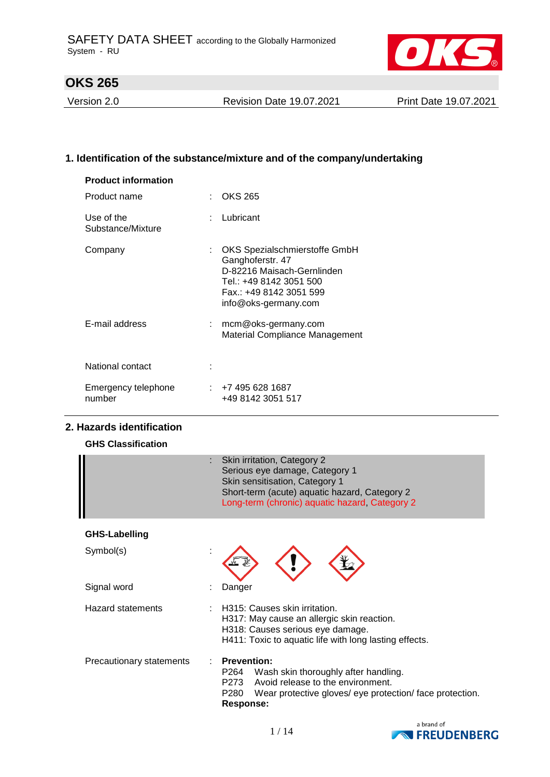

Version 2.0 Revision Date 19.07.2021 Print Date 19.07.2021

### **1. Identification of the substance/mixture and of the company/undertaking**

| <b>Product information</b>      |   |                                                                                                                                                               |
|---------------------------------|---|---------------------------------------------------------------------------------------------------------------------------------------------------------------|
| Product name                    | t | <b>OKS 265</b>                                                                                                                                                |
| Use of the<br>Substance/Mixture |   | Lubricant                                                                                                                                                     |
| Company                         | ÷ | OKS Spezialschmierstoffe GmbH<br>Ganghoferstr. 47<br>D-82216 Maisach-Gernlinden<br>Tel.: +49 8142 3051 500<br>Fax.: +49 8142 3051 599<br>info@oks-germany.com |
| E-mail address                  |   | mcm@oks-germany.com<br><b>Material Compliance Management</b>                                                                                                  |
| National contact                |   |                                                                                                                                                               |
| Emergency telephone<br>number   |   | $: +74956281687$<br>+49 8142 3051 517                                                                                                                         |

### **2. Hazards identification**

| <b>GHS Classification</b> |  |
|---------------------------|--|
|---------------------------|--|

|                          | Skin irritation, Category 2<br>Serious eye damage, Category 1<br>Skin sensitisation, Category 1<br>Short-term (acute) aquatic hazard, Category 2<br>Long-term (chronic) aquatic hazard, Category 2 |  |
|--------------------------|----------------------------------------------------------------------------------------------------------------------------------------------------------------------------------------------------|--|
| <b>GHS-Labelling</b>     |                                                                                                                                                                                                    |  |
| Symbol(s)                |                                                                                                                                                                                                    |  |
| Signal word              | Danger                                                                                                                                                                                             |  |
| Hazard statements        | H315: Causes skin irritation.<br>H317: May cause an allergic skin reaction.<br>H318: Causes serious eye damage.<br>H411: Toxic to aquatic life with long lasting effects.                          |  |
| Precautionary statements | <b>Prevention:</b><br>Wash skin thoroughly after handling.<br>P264<br>Avoid release to the environment.<br>P273<br>P280<br>Wear protective gloves/ eye protection/ face protection.<br>Response:   |  |

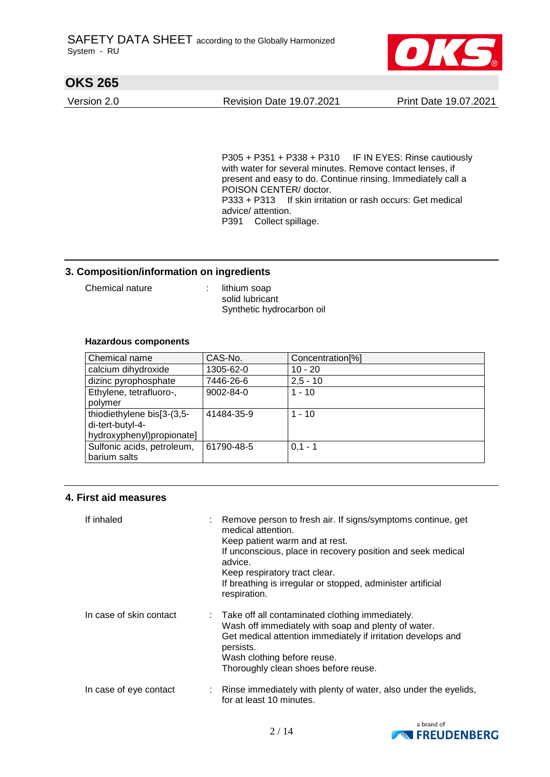

Version 2.0 Revision Date 19.07.2021 Print Date 19.07.2021

P305 + P351 + P338 + P310 IF IN EYES: Rinse cautiously with water for several minutes. Remove contact lenses, if present and easy to do. Continue rinsing. Immediately call a POISON CENTER/ doctor. P333 + P313 If skin irritation or rash occurs: Get medical advice/ attention. P391 Collect spillage.

### **3. Composition/information on ingredients**

Chemical nature : lithium soap

solid lubricant Synthetic hydrocarbon oil

#### **Hazardous components**

| Chemical name              | CAS-No.         | Concentration <sup>[%]</sup> |
|----------------------------|-----------------|------------------------------|
| calcium dihydroxide        | 1305-62-0       | $10 - 20$                    |
| dizinc pyrophosphate       | 7446-26-6       | $2,5 - 10$                   |
| Ethylene, tetrafluoro-,    | $9002 - 84 - 0$ | $1 - 10$                     |
| polymer                    |                 |                              |
| thiodiethylene bis[3-(3,5- | 41484-35-9      | $1 - 10$                     |
| di-tert-butyl-4-           |                 |                              |
| hydroxyphenyl)propionate]  |                 |                              |
| Sulfonic acids, petroleum, | 61790-48-5      | $0.1 - 1$                    |
| barium salts               |                 |                              |

#### **4. First aid measures**

| If inhaled              | Remove person to fresh air. If signs/symptoms continue, get<br>medical attention.<br>Keep patient warm and at rest.<br>If unconscious, place in recovery position and seek medical<br>advice.<br>Keep respiratory tract clear.<br>If breathing is irregular or stopped, administer artificial<br>respiration. |
|-------------------------|---------------------------------------------------------------------------------------------------------------------------------------------------------------------------------------------------------------------------------------------------------------------------------------------------------------|
| In case of skin contact | : Take off all contaminated clothing immediately.<br>Wash off immediately with soap and plenty of water.<br>Get medical attention immediately if irritation develops and<br>persists.<br>Wash clothing before reuse.<br>Thoroughly clean shoes before reuse.                                                  |
| In case of eye contact  | Rinse immediately with plenty of water, also under the eyelids,<br>for at least 10 minutes.                                                                                                                                                                                                                   |

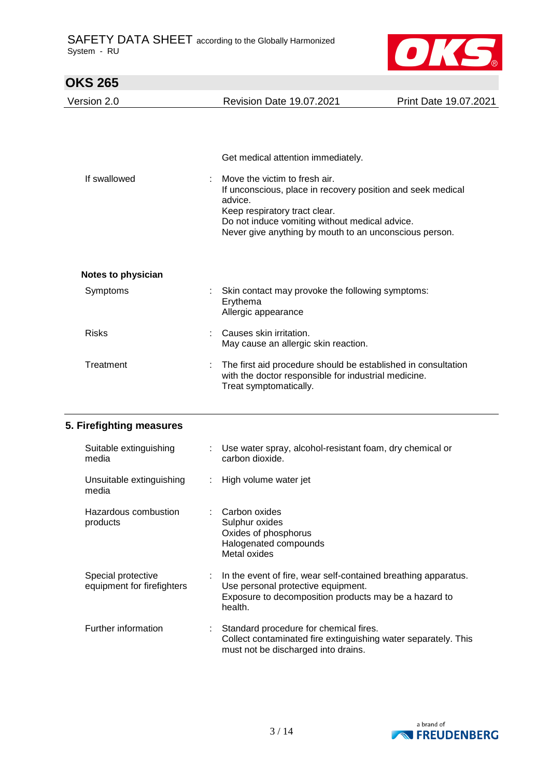

| <b>OKS 265</b>                    |                                                                                                                                                                                                                     |                       |
|-----------------------------------|---------------------------------------------------------------------------------------------------------------------------------------------------------------------------------------------------------------------|-----------------------|
| Version 2.0                       | <b>Revision Date 19.07.2021</b>                                                                                                                                                                                     | Print Date 19.07.2021 |
| If swallowed                      | Get medical attention immediately.<br>Move the victim to fresh air.                                                                                                                                                 |                       |
|                                   | If unconscious, place in recovery position and seek medical<br>advice.<br>Keep respiratory tract clear.<br>Do not induce vomiting without medical advice.<br>Never give anything by mouth to an unconscious person. |                       |
| <b>Notes to physician</b>         |                                                                                                                                                                                                                     |                       |
| Symptoms                          | Skin contact may provoke the following symptoms:<br>Erythema<br>Allergic appearance                                                                                                                                 |                       |
| <b>Risks</b>                      | Causes skin irritation.<br>May cause an allergic skin reaction.                                                                                                                                                     |                       |
| Treatment                         | The first aid procedure should be established in consultation<br>with the doctor responsible for industrial medicine.<br>Treat symptomatically.                                                                     |                       |
| 5. Firefighting measures          |                                                                                                                                                                                                                     |                       |
| Suitable extinguishing<br>media   | : Use water spray, alcohol-resistant foam, dry chemical or<br>carbon dioxide.                                                                                                                                       |                       |
| Unsuitable extinguishing<br>media | High volume water jet                                                                                                                                                                                               |                       |
| Hazardous combustion<br>products  | Carbon oxides<br>Sulphur oxides<br>Oxides of phosphorus                                                                                                                                                             |                       |

| UITSUITADIE EXTINGUISHING<br>media               | . Fight volume water jet                                                                                                                                                 |
|--------------------------------------------------|--------------------------------------------------------------------------------------------------------------------------------------------------------------------------|
| Hazardous combustion<br>products                 | Carbon oxides<br>Sulphur oxides<br>Oxides of phosphorus<br>Halogenated compounds<br>Metal oxides                                                                         |
| Special protective<br>equipment for firefighters | In the event of fire, wear self-contained breathing apparatus.<br>Use personal protective equipment.<br>Exposure to decomposition products may be a hazard to<br>health. |
| Further information                              | Standard procedure for chemical fires.<br>Collect contaminated fire extinguishing water separately. This<br>must not be discharged into drains.                          |

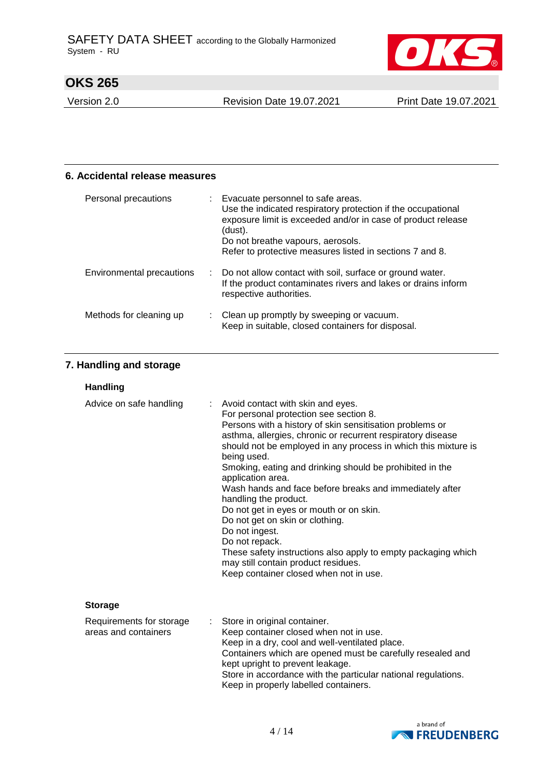

Version 2.0 Revision Date 19.07.2021 Print Date 19.07.2021

### **6. Accidental release measures**

| Personal precautions      | Evacuate personnel to safe areas.<br>Use the indicated respiratory protection if the occupational<br>exposure limit is exceeded and/or in case of product release<br>(dust).<br>Do not breathe vapours, aerosols.<br>Refer to protective measures listed in sections 7 and 8. |
|---------------------------|-------------------------------------------------------------------------------------------------------------------------------------------------------------------------------------------------------------------------------------------------------------------------------|
| Environmental precautions | : Do not allow contact with soil, surface or ground water.<br>If the product contaminates rivers and lakes or drains inform<br>respective authorities.                                                                                                                        |
| Methods for cleaning up   | Clean up promptly by sweeping or vacuum.<br>Keep in suitable, closed containers for disposal.                                                                                                                                                                                 |

### **7. Handling and storage**

| <b>Handling</b>                                  |                                                                                                                                                                                                                                                                                                                                                                                                                                                                                                                                                                                                                                                                                                                                  |
|--------------------------------------------------|----------------------------------------------------------------------------------------------------------------------------------------------------------------------------------------------------------------------------------------------------------------------------------------------------------------------------------------------------------------------------------------------------------------------------------------------------------------------------------------------------------------------------------------------------------------------------------------------------------------------------------------------------------------------------------------------------------------------------------|
| Advice on safe handling<br>÷                     | Avoid contact with skin and eyes.<br>For personal protection see section 8.<br>Persons with a history of skin sensitisation problems or<br>asthma, allergies, chronic or recurrent respiratory disease<br>should not be employed in any process in which this mixture is<br>being used.<br>Smoking, eating and drinking should be prohibited in the<br>application area.<br>Wash hands and face before breaks and immediately after<br>handling the product.<br>Do not get in eyes or mouth or on skin.<br>Do not get on skin or clothing.<br>Do not ingest.<br>Do not repack.<br>These safety instructions also apply to empty packaging which<br>may still contain product residues.<br>Keep container closed when not in use. |
| <b>Storage</b>                                   |                                                                                                                                                                                                                                                                                                                                                                                                                                                                                                                                                                                                                                                                                                                                  |
| Requirements for storage<br>areas and containers | Store in original container.<br>$\mathbb{R}^{\mathbb{Z}}$<br>Keep container closed when not in use.<br>Keep in a dry, cool and well-ventilated place.<br>Containers which are opened must be carefully resealed and<br>kept upright to prevent leakage.<br>Store in accordance with the particular national regulations.<br>Keep in properly labelled containers.                                                                                                                                                                                                                                                                                                                                                                |

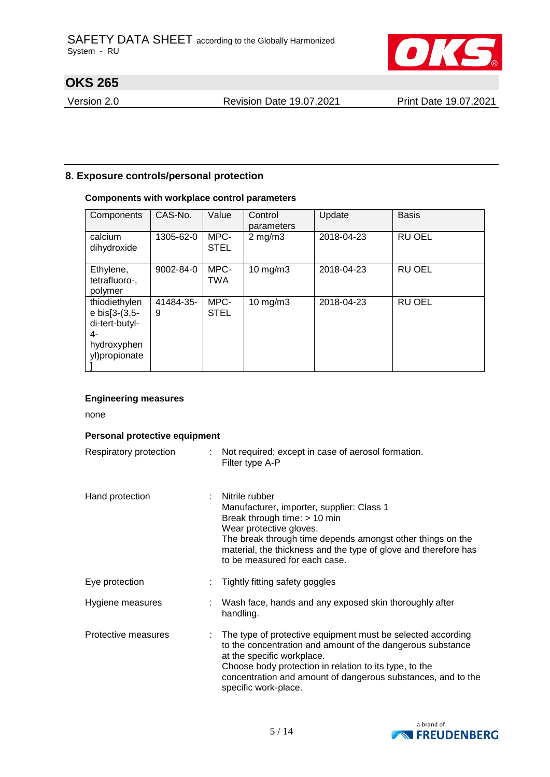

Version 2.0 Revision Date 19.07.2021 Print Date 19.07.2021

#### **8. Exposure controls/personal protection**

### **Components with workplace control parameters**

| Components                                                                             | CAS-No.        | Value               | Control<br>parameters | Update     | <b>Basis</b>  |
|----------------------------------------------------------------------------------------|----------------|---------------------|-----------------------|------------|---------------|
| calcium<br>dihydroxide                                                                 | 1305-62-0      | MPC-<br><b>STEL</b> | $2$ mg/m $3$          | 2018-04-23 | <b>RU OEL</b> |
| Ethylene,<br>tetrafluoro-,<br>polymer                                                  | 9002-84-0      | MPC-<br><b>TWA</b>  | $10$ mg/m $3$         | 2018-04-23 | RU OEL        |
| thiodiethylen<br>e bis[3-(3,5-<br>di-tert-butyl-<br>4-<br>hydroxyphen<br>yl)propionate | 41484-35-<br>9 | MPC-<br><b>STEL</b> | $10$ mg/m $3$         | 2018-04-23 | <b>RU OEL</b> |

#### **Engineering measures**

none

#### **Personal protective equipment**

| Respiratory protection | Not required; except in case of aerosol formation.<br>Filter type A-P                                                                                                                                                                                                                                       |
|------------------------|-------------------------------------------------------------------------------------------------------------------------------------------------------------------------------------------------------------------------------------------------------------------------------------------------------------|
| Hand protection        | Nitrile rubber<br>Manufacturer, importer, supplier: Class 1<br>Break through time: $> 10$ min<br>Wear protective gloves.<br>The break through time depends amongst other things on the<br>material, the thickness and the type of glove and therefore has<br>to be measured for each case.                  |
| Eye protection         | Tightly fitting safety goggles                                                                                                                                                                                                                                                                              |
| Hygiene measures       | : Wash face, hands and any exposed skin thoroughly after<br>handling.                                                                                                                                                                                                                                       |
| Protective measures    | : The type of protective equipment must be selected according<br>to the concentration and amount of the dangerous substance<br>at the specific workplace.<br>Choose body protection in relation to its type, to the<br>concentration and amount of dangerous substances, and to the<br>specific work-place. |

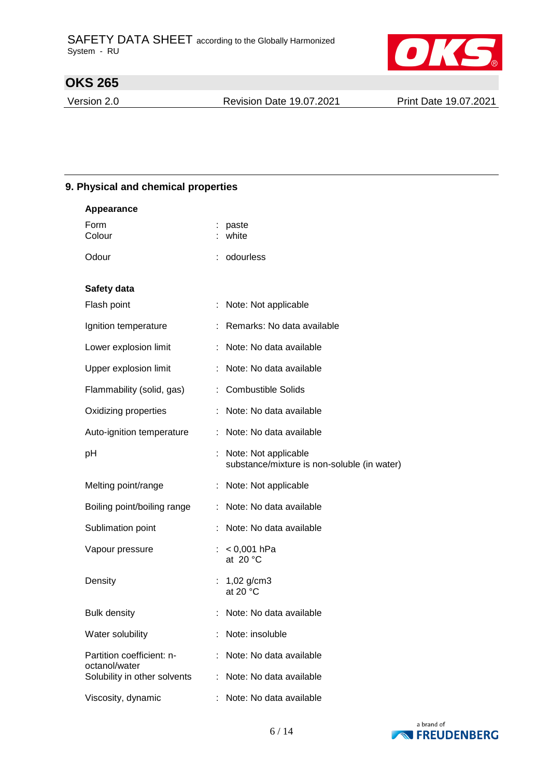

Version 2.0 Revision Date 19.07.2021 Print Date 19.07.2021

#### **9. Physical and chemical properties**

| <b>Appearance</b>                             |                                                                     |
|-----------------------------------------------|---------------------------------------------------------------------|
| Form<br>Colour                                | : paste<br>: white                                                  |
| Odour                                         | odourless                                                           |
| Safety data                                   |                                                                     |
| Flash point                                   | : Note: Not applicable                                              |
| Ignition temperature                          | : Remarks: No data available                                        |
| Lower explosion limit                         | : Note: No data available                                           |
| Upper explosion limit                         | Note: No data available<br>÷.                                       |
| Flammability (solid, gas)                     | <b>Combustible Solids</b>                                           |
| Oxidizing properties                          | Note: No data available                                             |
| Auto-ignition temperature                     | Note: No data available<br>÷.                                       |
| pH                                            | Note: Not applicable<br>substance/mixture is non-soluble (in water) |
| Melting point/range                           | : Note: Not applicable                                              |
| Boiling point/boiling range                   | Note: No data available<br>÷.                                       |
| Sublimation point                             | Note: No data available                                             |
| Vapour pressure                               | : $< 0,001$ hPa<br>at 20 $\degree$ C                                |
| Density                                       | $1,02$ g/cm3<br>t.<br>at 20 $\degree$ C                             |
| <b>Bulk density</b>                           | Note: No data available                                             |
| Water solubility                              | Note: insoluble                                                     |
| Partition coefficient: n-                     | Note: No data available                                             |
| octanol/water<br>Solubility in other solvents | Note: No data available                                             |
| Viscosity, dynamic                            | Note: No data available                                             |

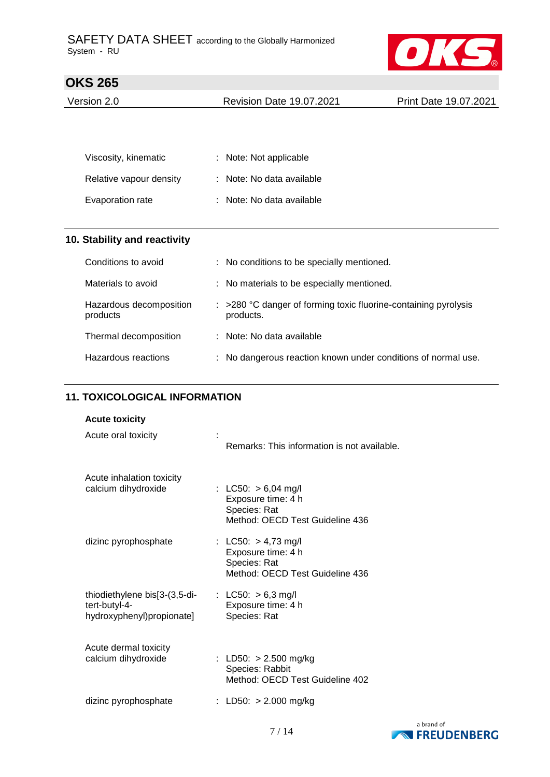

| Version 2.0 | <b>Revision Date 19.07.2021</b> | Print Date 19.07.2021 |
|-------------|---------------------------------|-----------------------|
|             |                                 |                       |

| Viscosity, kinematic    | : Note: Not applicable    |
|-------------------------|---------------------------|
| Relative vapour density | : Note: No data available |
| Evaporation rate        | : Note: No data available |

## **10. Stability and reactivity**

| Conditions to avoid                 | : No conditions to be specially mentioned.                                              |
|-------------------------------------|-----------------------------------------------------------------------------------------|
| Materials to avoid                  | : No materials to be especially mentioned.                                              |
| Hazardous decomposition<br>products | $\therefore$ >280 °C danger of forming toxic fluorine-containing pyrolysis<br>products. |
| Thermal decomposition               | : Note: No data available                                                               |
| Hazardous reactions                 | : No dangerous reaction known under conditions of normal use.                           |

### **11. TOXICOLOGICAL INFORMATION**

### **Acute toxicity**

| Acute oral toxicity                                                         | Remarks: This information is not available.                                                    |
|-----------------------------------------------------------------------------|------------------------------------------------------------------------------------------------|
| Acute inhalation toxicity<br>calcium dihydroxide                            | : LC50: $> 6,04$ mg/l<br>Exposure time: 4 h<br>Species: Rat<br>Method: OECD Test Guideline 436 |
| dizinc pyrophosphate                                                        | : LC50: $> 4,73$ mg/l<br>Exposure time: 4 h<br>Species: Rat<br>Method: OECD Test Guideline 436 |
| thiodiethylene bis[3-(3,5-di-<br>tert-butyl-4-<br>hydroxyphenyl)propionate] | : LC50: $> 6.3$ mg/l<br>Exposure time: 4 h<br>Species: Rat                                     |
| Acute dermal toxicity<br>calcium dihydroxide                                | : LD50: $> 2.500$ mg/kg<br>Species: Rabbit<br>Method: OECD Test Guideline 402                  |
| dizinc pyrophosphate                                                        | : LD50: $> 2.000$ mg/kg                                                                        |

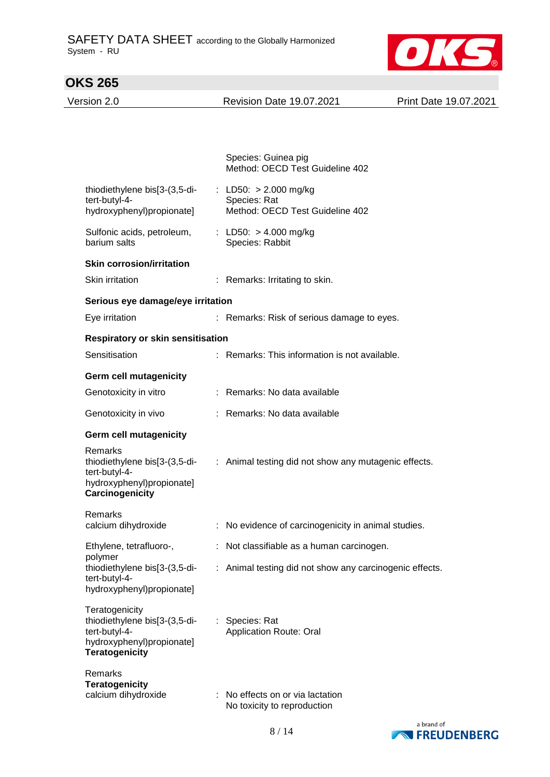

Version 2.0 Revision Date 19.07.2021 Print Date 19.07.2021

|                                                                                                                        | Species: Guinea pig<br>Method: OECD Test Guideline 402                     |
|------------------------------------------------------------------------------------------------------------------------|----------------------------------------------------------------------------|
| thiodiethylene bis[3-(3,5-di-<br>tert-butyl-4-<br>hydroxyphenyl)propionate]                                            | : LD50: $> 2.000$ mg/kg<br>Species: Rat<br>Method: OECD Test Guideline 402 |
| Sulfonic acids, petroleum,<br>barium salts                                                                             | : LD50: $> 4.000$ mg/kg<br>Species: Rabbit                                 |
| <b>Skin corrosion/irritation</b>                                                                                       |                                                                            |
| Skin irritation                                                                                                        | : Remarks: Irritating to skin.                                             |
| Serious eye damage/eye irritation                                                                                      |                                                                            |
| Eye irritation                                                                                                         | : Remarks: Risk of serious damage to eyes.                                 |
| <b>Respiratory or skin sensitisation</b>                                                                               |                                                                            |
| Sensitisation                                                                                                          | : Remarks: This information is not available.                              |
| <b>Germ cell mutagenicity</b>                                                                                          |                                                                            |
| Genotoxicity in vitro                                                                                                  | : Remarks: No data available                                               |
| Genotoxicity in vivo                                                                                                   | : Remarks: No data available                                               |
| <b>Germ cell mutagenicity</b>                                                                                          |                                                                            |
| Remarks<br>thiodiethylene bis[3-(3,5-di-<br>tert-butyl-4-<br>hydroxyphenyl)propionate]<br>Carcinogenicity              | : Animal testing did not show any mutagenic effects.                       |
| Remarks<br>calcium dihydroxide                                                                                         | : No evidence of carcinogenicity in animal studies.                        |
| Ethylene, tetrafluoro-,                                                                                                | : Not classifiable as a human carcinogen.                                  |
| polymer<br>thiodiethylene bis[3-(3,5-di-<br>tert-butyl-4-<br>hydroxyphenyl)propionate]                                 | : Animal testing did not show any carcinogenic effects.                    |
| Teratogenicity<br>thiodiethylene bis[3-(3,5-di-<br>tert-butyl-4-<br>hydroxyphenyl)propionate]<br><b>Teratogenicity</b> | : Species: Rat<br><b>Application Route: Oral</b>                           |
| Remarks<br><b>Teratogenicity</b><br>calcium dihydroxide                                                                | No effects on or via lactation<br>No toxicity to reproduction              |

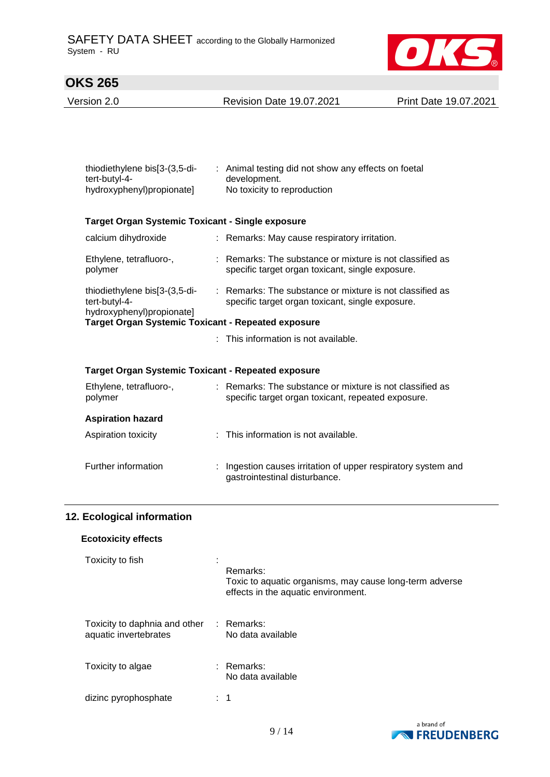

Version 2.0 Revision Date 19.07.2021 Print Date 19.07.2021

| thiodiethylene bis[3-(3,5-di-<br>tert-butyl-4-<br>hydroxyphenyl)propionate] | : Animal testing did not show any effects on foetal<br>development.<br>No toxicity to reproduction             |  |
|-----------------------------------------------------------------------------|----------------------------------------------------------------------------------------------------------------|--|
| <b>Target Organ Systemic Toxicant - Single exposure</b>                     |                                                                                                                |  |
| calcium dihydroxide                                                         | : Remarks: May cause respiratory irritation.                                                                   |  |
| Ethylene, tetrafluoro-,<br>polymer                                          | : Remarks: The substance or mixture is not classified as<br>specific target organ toxicant, single exposure.   |  |
| thiodiethylene bis[3-(3,5-di-<br>tert-butyl-4-<br>hydroxyphenyl)propionate] | : Remarks: The substance or mixture is not classified as<br>specific target organ toxicant, single exposure.   |  |
| Target Organ Systemic Toxicant - Repeated exposure                          |                                                                                                                |  |
|                                                                             | This information is not available.                                                                             |  |
| <b>Target Organ Systemic Toxicant - Repeated exposure</b>                   |                                                                                                                |  |
| Ethylene, tetrafluoro-,<br>polymer                                          | : Remarks: The substance or mixture is not classified as<br>specific target organ toxicant, repeated exposure. |  |
| <b>Aspiration hazard</b>                                                    |                                                                                                                |  |
| Aspiration toxicity                                                         | : This information is not available.                                                                           |  |
| Further information                                                         | : Ingestion causes irritation of upper respiratory system and<br>gastrointestinal disturbance.                 |  |

### **12. Ecological information**

#### **Ecotoxicity effects**

| Toxicity to fish                                       | Remarks:<br>Toxic to aquatic organisms, may cause long-term adverse<br>effects in the aquatic environment. |
|--------------------------------------------------------|------------------------------------------------------------------------------------------------------------|
| Toxicity to daphnia and other<br>aquatic invertebrates | : Remarks:<br>No data available                                                                            |
| Toxicity to algae                                      | $:$ Remarks:<br>No data available                                                                          |
| dizinc pyrophosphate                                   | 1                                                                                                          |

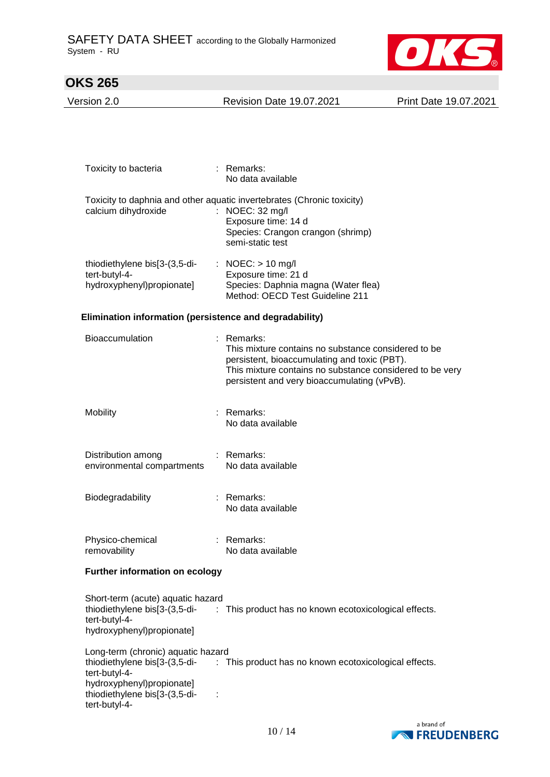

Version 2.0 Revision Date 19.07.2021 Print Date 19.07.2021

| Toxicity to bacteria                                                                                                               | $:$ Remarks:<br>No data available                                                                                                                                                                                            |
|------------------------------------------------------------------------------------------------------------------------------------|------------------------------------------------------------------------------------------------------------------------------------------------------------------------------------------------------------------------------|
| calcium dihydroxide                                                                                                                | Toxicity to daphnia and other aquatic invertebrates (Chronic toxicity)<br>: NOEC: 32 mg/l<br>Exposure time: 14 d<br>Species: Crangon crangon (shrimp)<br>semi-static test                                                    |
| thiodiethylene bis[3-(3,5-di-<br>tert-butyl-4-<br>hydroxyphenyl)propionate]                                                        | : NOEC: $> 10$ mg/l<br>Exposure time: 21 d<br>Species: Daphnia magna (Water flea)<br>Method: OECD Test Guideline 211                                                                                                         |
| Elimination information (persistence and degradability)                                                                            |                                                                                                                                                                                                                              |
| <b>Bioaccumulation</b>                                                                                                             | : Remarks:<br>This mixture contains no substance considered to be<br>persistent, bioaccumulating and toxic (PBT).<br>This mixture contains no substance considered to be very<br>persistent and very bioaccumulating (vPvB). |
| Mobility                                                                                                                           | : Remarks:<br>No data available                                                                                                                                                                                              |
| Distribution among<br>environmental compartments                                                                                   | : Remarks:<br>No data available                                                                                                                                                                                              |
| Biodegradability                                                                                                                   | : Remarks:<br>No data available                                                                                                                                                                                              |
| Physico-chemical<br>removability                                                                                                   | : Remarks:<br>No data available                                                                                                                                                                                              |
| <b>Further information on ecology</b>                                                                                              |                                                                                                                                                                                                                              |
| Short-term (acute) aquatic hazard<br>tert-butyl-4-<br>hydroxyphenyl)propionate]                                                    | thiodiethylene bis[3-(3,5-di- : This product has no known ecotoxicological effects.                                                                                                                                          |
| Long-term (chronic) aquatic hazard<br>tert-butyl-4-<br>hydroxyphenyl)propionate]<br>thiodiethylene bis[3-(3,5-di-<br>tert-butyl-4- | thiodiethylene bis[3-(3,5-di- : This product has no known ecotoxicological effects.                                                                                                                                          |
|                                                                                                                                    | a brand of                                                                                                                                                                                                                   |

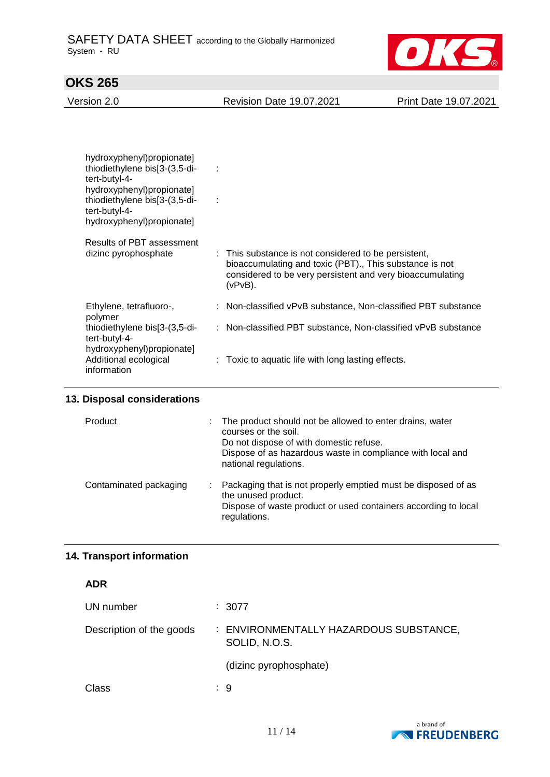

| Version 2.0 | <b>Revision Date 19.07.2021</b> | Print Date 19.07.2021 |
|-------------|---------------------------------|-----------------------|
|             |                                 |                       |

| hydroxyphenyl)propionate]<br>thiodiethylene bis[3-(3,5-di-<br>$\sim$ 1.<br>tert-butyl-4-<br>hydroxyphenyl)propionate]<br>thiodiethylene bis[3-(3,5-di-<br>$\sim$ 10<br>tert-butyl-4-<br>hydroxyphenyl)propionate] |                                                                                                                                                                                            |  |
|-------------------------------------------------------------------------------------------------------------------------------------------------------------------------------------------------------------------|--------------------------------------------------------------------------------------------------------------------------------------------------------------------------------------------|--|
| Results of PBT assessment<br>dizinc pyrophosphate                                                                                                                                                                 | : This substance is not considered to be persistent,<br>bioaccumulating and toxic (PBT)., This substance is not<br>considered to be very persistent and very bioaccumulating<br>$(vPvB)$ . |  |
| Ethylene, tetrafluoro-,                                                                                                                                                                                           | : Non-classified vPvB substance, Non-classified PBT substance                                                                                                                              |  |
| polymer<br>thiodiethylene bis[3-(3,5-di-<br>tert-butyl-4-                                                                                                                                                         | : Non-classified PBT substance, Non-classified vPvB substance                                                                                                                              |  |
| hydroxyphenyl)propionate]<br>Additional ecological<br>information                                                                                                                                                 | $\therefore$ Toxic to aquatic life with long lasting effects.                                                                                                                              |  |

### **13. Disposal considerations**

| Product                | $\mathcal{L}^{\text{max}}$ | The product should not be allowed to enter drains, water<br>courses or the soil.<br>Do not dispose of with domestic refuse.<br>Dispose of as hazardous waste in compliance with local and<br>national regulations. |
|------------------------|----------------------------|--------------------------------------------------------------------------------------------------------------------------------------------------------------------------------------------------------------------|
| Contaminated packaging |                            | : Packaging that is not properly emptied must be disposed of as<br>the unused product.<br>Dispose of waste product or used containers according to local<br>regulations.                                           |

## **14. Transport information**

| UN number                | : 3077                                                  |
|--------------------------|---------------------------------------------------------|
| Description of the goods | : ENVIRONMENTALLY HAZARDOUS SUBSTANCE,<br>SOLID, N.O.S. |
|                          | (dizinc pyrophosphate)                                  |
| Class                    | : 9                                                     |

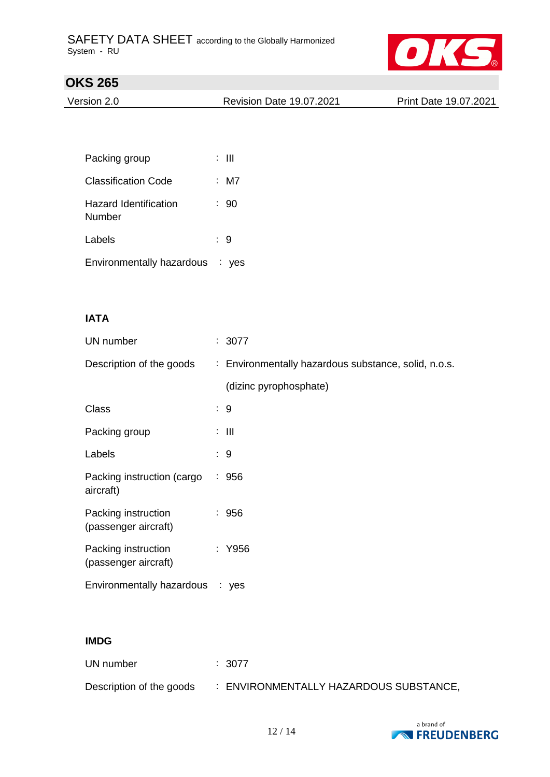

| Version 2.0 | <b>Revision Date 19.07.2021</b> | Print Date 19.07.2021 |
|-------------|---------------------------------|-----------------------|
|             |                                 |                       |

| Packing group                   | : III |
|---------------------------------|-------|
| <b>Classification Code</b>      | : M7  |
| Hazard Identification<br>Number | : 90  |
| Labels                          | : 9   |
| Environmentally hazardous : yes |       |

### **IATA**

| UN number                                   | : 3077                                               |
|---------------------------------------------|------------------------------------------------------|
| Description of the goods                    | : Environmentally hazardous substance, solid, n.o.s. |
|                                             | (dizinc pyrophosphate)                               |
| Class                                       | : 9                                                  |
| Packing group                               | $\mathbb{R}^n$ . The set of $\mathbb{R}^n$           |
| Labels                                      | : 9                                                  |
| Packing instruction (cargo<br>aircraft)     | : 956                                                |
| Packing instruction<br>(passenger aircraft) | : 956                                                |
| Packing instruction<br>(passenger aircraft) | : Y956                                               |
| Environmentally hazardous : yes             |                                                      |

### **IMDG**

| UN number                | $\therefore$ 3077                      |
|--------------------------|----------------------------------------|
| Description of the goods | : ENVIRONMENTALLY HAZARDOUS SUBSTANCE, |

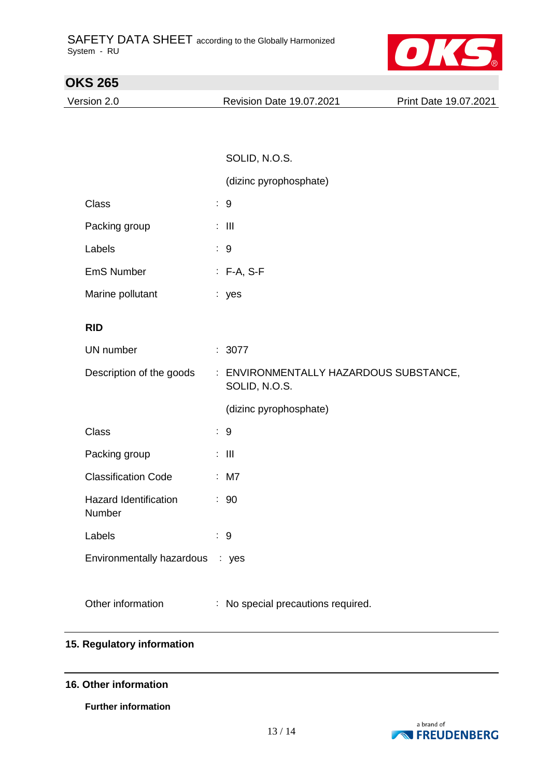

| <b>OKS 265</b>                         |   |                                                       |                       |
|----------------------------------------|---|-------------------------------------------------------|-----------------------|
| Version 2.0                            |   | Revision Date 19.07.2021                              | Print Date 19.07.2021 |
|                                        |   |                                                       |                       |
|                                        |   |                                                       |                       |
|                                        |   | SOLID, N.O.S.                                         |                       |
|                                        |   | (dizinc pyrophosphate)                                |                       |
| Class                                  |   | : 9                                                   |                       |
| Packing group                          |   | $\mathbb{Z}$ - $\mathbb{H}$                           |                       |
| Labels                                 |   | $\therefore$ 9                                        |                       |
| <b>EmS Number</b>                      |   | $: F-A, S-F$                                          |                       |
| Marine pollutant                       |   | : yes                                                 |                       |
| <b>RID</b>                             |   |                                                       |                       |
| UN number                              |   | : 3077                                                |                       |
| Description of the goods               |   | ENVIRONMENTALLY HAZARDOUS SUBSTANCE,<br>SOLID, N.O.S. |                       |
|                                        |   | (dizinc pyrophosphate)                                |                       |
| Class                                  |   | $\therefore$ 9                                        |                       |
| Packing group                          |   | $\mathbb{Z}$ - $\mathbb{H}$                           |                       |
| <b>Classification Code</b>             |   | $:$ M7                                                |                       |
| <b>Hazard Identification</b><br>Number |   | : 90                                                  |                       |
| Labels                                 |   | : 9                                                   |                       |
| Environmentally hazardous : yes        |   |                                                       |                       |
|                                        |   |                                                       |                       |
| Other information                      | ÷ | No special precautions required.                      |                       |

### **15. Regulatory information**

#### **16. Other information**

**Further information**